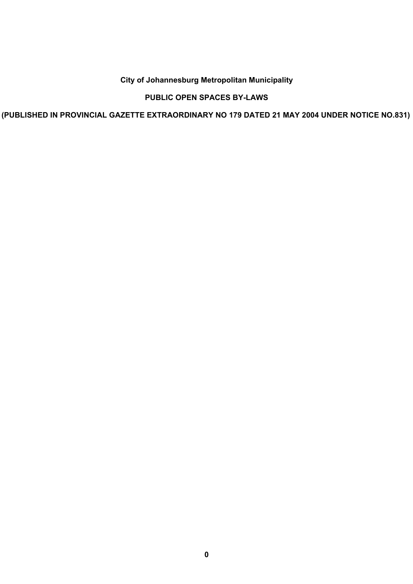# **City of Johannesburg Metropolitan Municipality**

# **PUBLIC OPEN SPACES BY-LAWS**

**(PUBLISHED IN PROVINCIAL GAZETTE EXTRAORDINARY NO 179 DATED 21 MAY 2004 UNDER NOTICE NO.831)**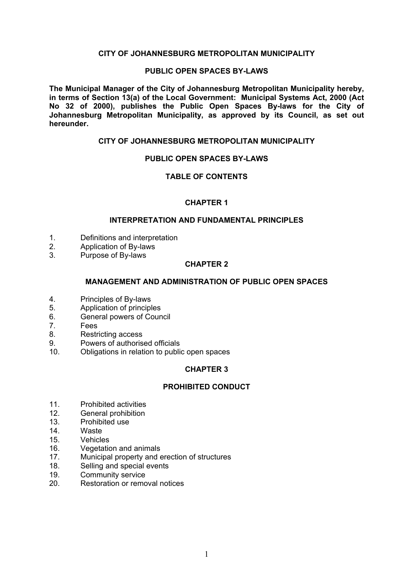### **CITY OF JOHANNESBURG METROPOLITAN MUNICIPALITY**

#### **PUBLIC OPEN SPACES BY-LAWS**

**The Municipal Manager of the City of Johannesburg Metropolitan Municipality hereby, in terms of Section 13(a) of the Local Government: Municipal Systems Act, 2000 (Act No 32 of 2000), publishes the Public Open Spaces By-laws for the City of Johannesburg Metropolitan Municipality, as approved by its Council, as set out hereunder.** 

## **CITY OF JOHANNESBURG METROPOLITAN MUNICIPALITY**

### **PUBLIC OPEN SPACES BY-LAWS**

### **TABLE OF CONTENTS**

### **CHAPTER 1**

#### **INTERPRETATION AND FUNDAMENTAL PRINCIPLES**

- 1. Definitions and interpretation<br>2. Application of By-laws
- Application of By-laws
- 3. Purpose of By-laws

### **CHAPTER 2**

### **MANAGEMENT AND ADMINISTRATION OF PUBLIC OPEN SPACES**

- 4. Principles of By-laws<br>5. Application of principl
- 5. Application of principles<br>6 General nowers of Cour
- 6. General powers of Council
- 7. Fees
- 8. Restricting access
- 9. Powers of authorised officials
- 10. Obligations in relation to public open spaces

## **CHAPTER 3**

### **PROHIBITED CONDUCT**

- 11. Prohibited activities
- 12. General prohibition
- 13. Prohibited use
- 14. Waste<br>15 Vehicle
- **Vehicles**
- 16. Vegetation and animals
- 17. Municipal property and erection of structures
- 18. Selling and special events
- 19. Community service
- 20. Restoration or removal notices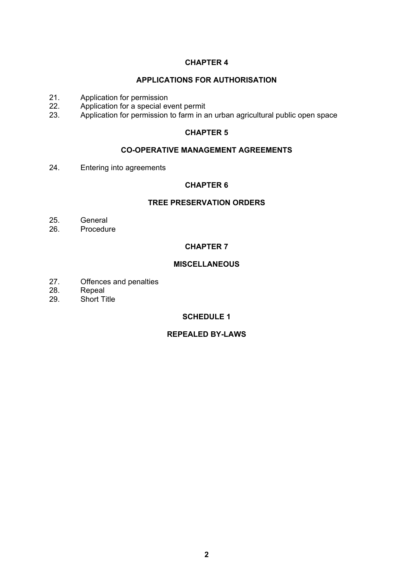# **APPLICATIONS FOR AUTHORISATION**

- 21. Application for permission<br>22. Application for a special ev
- 22. Application for a special event permit<br>23. Application for permission to farm in a
- 23. Application for permission to farm in an urban agricultural public open space

## **CHAPTER 5**

## **CO-OPERATIVE MANAGEMENT AGREEMENTS**

24. Entering into agreements

## **CHAPTER 6**

# **TREE PRESERVATION ORDERS**

- 25. General
- 26. Procedure

# **CHAPTER 7**

# **MISCELLANEOUS**

- 27. Offences and penalties
- 28. Repeal<br>29. Short T
- Short Title

# **SCHEDULE 1**

# **REPEALED BY-LAWS**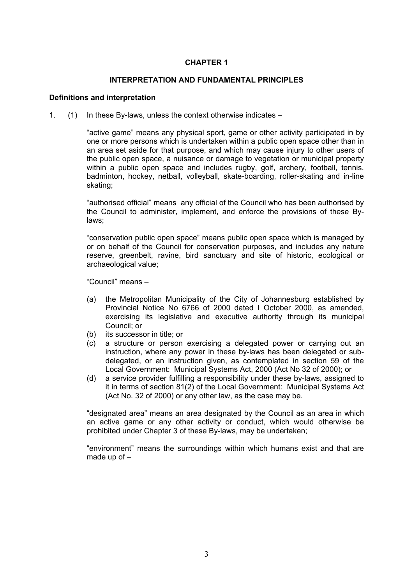### **INTERPRETATION AND FUNDAMENTAL PRINCIPLES**

#### **Definitions and interpretation**

1.  $(1)$  In these By-laws, unless the context otherwise indicates  $-$ 

"active game" means any physical sport, game or other activity participated in by one or more persons which is undertaken within a public open space other than in an area set aside for that purpose, and which may cause injury to other users of the public open space, a nuisance or damage to vegetation or municipal property within a public open space and includes rugby, golf, archery, football, tennis, badminton, hockey, netball, volleyball, skate-boarding, roller-skating and in-line skating;

"authorised official" means any official of the Council who has been authorised by the Council to administer, implement, and enforce the provisions of these Bylaws;

"conservation public open space" means public open space which is managed by or on behalf of the Council for conservation purposes, and includes any nature reserve, greenbelt, ravine, bird sanctuary and site of historic, ecological or archaeological value;

"Council" means -

- (a) the Metropolitan Municipality of the City of Johannesburg established by Provincial Notice No 6766 of 2000 dated I October 2000, as amended, exercising its legislative and executive authority through its municipal Council; or
- (b) its successor in title; or
- (c) a structure or person exercising a delegated power or carrying out an instruction, where any power in these by-laws has been delegated or subdelegated, or an instruction given, as contemplated in section 59 of the Local Government: Municipal Systems Act, 2000 (Act No 32 of 2000); or
- (d) a service provider fulfilling a responsibility under these by-laws, assigned to it in terms of section 81(2) of the Local Government: Municipal Systems Act (Act No. 32 of 2000) or any other law, as the case may be.

"designated area" means an area designated by the Council as an area in which an active game or any other activity or conduct, which would otherwise be prohibited under Chapter 3 of these By-laws, may be undertaken;

"environment" means the surroundings within which humans exist and that are made up of  $-$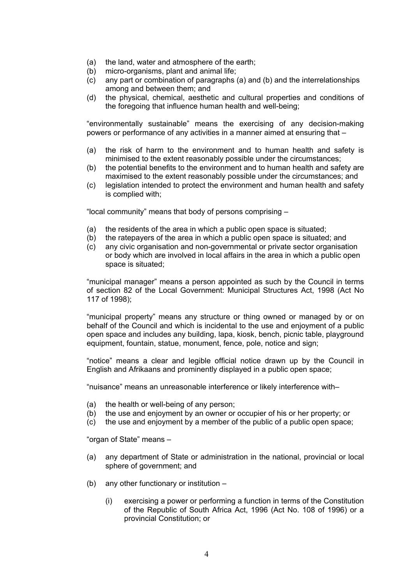- (a) the land, water and atmosphere of the earth;
- (b) micro-organisms, plant and animal life;
- (c) any part or combination of paragraphs (a) and (b) and the interrelationships among and between them; and
- (d) the physical, chemical, aesthetic and cultural properties and conditions of the foregoing that influence human health and well-being;

"environmentally sustainable" means the exercising of any decision-making powers or performance of any activities in a manner aimed at ensuring that  $-$ 

- (a) the risk of harm to the environment and to human health and safety is minimised to the extent reasonably possible under the circumstances;
- (b) the potential benefits to the environment and to human health and safety are maximised to the extent reasonably possible under the circumstances; and
- (c) legislation intended to protect the environment and human health and safety is complied with;

"local community" means that body of persons comprising  $-$ 

- (a) the residents of the area in which a public open space is situated;
- (b) the ratepayers of the area in which a public open space is situated; and
- (c) any civic organisation and non-governmental or private sector organisation or body which are involved in local affairs in the area in which a public open space is situated;

"municipal manager" means a person appointed as such by the Council in terms of section 82 of the Local Government: Municipal Structures Act, 1998 (Act No 117 of 1998);

"municipal property" means any structure or thing owned or managed by or on behalf of the Council and which is incidental to the use and enjoyment of a public open space and includes any building, lapa, kiosk, bench, picnic table, playground equipment, fountain, statue, monument, fence, pole, notice and sign;

"notice" means a clear and legible official notice drawn up by the Council in English and Afrikaans and prominently displayed in a public open space;

"nuisance" means an unreasonable interference or likely interference with-

- (a) the health or well-being of any person;
- (b) the use and enjoyment by an owner or occupier of his or her property; or
- (c) the use and enjoyment by a member of the public of a public open space;

"organ of State" means -

- (a) any department of State or administration in the national, provincial or local sphere of government; and
- (b) any other functionary or institution  $-$ 
	- (i) exercising a power or performing a function in terms of the Constitution of the Republic of South Africa Act, 1996 (Act No. 108 of 1996) or a provincial Constitution; or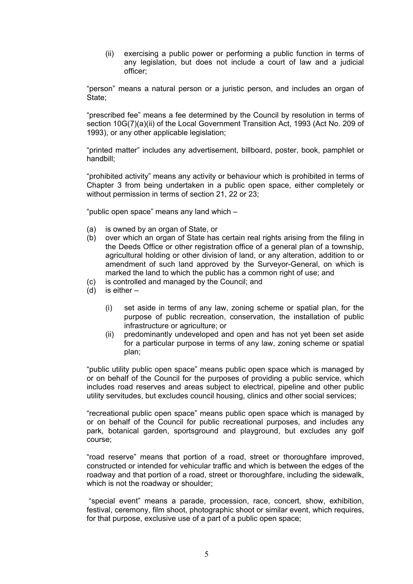(ii) exercising a public power or performing a public function in terms of any legislation, but does not include a court of law and a judicial officer;

"person" means a natural person or a juristic person, and includes an organ of State;

"prescribed fee" means a fee determined by the Council by resolution in terms of section 10G(7)(a)(ii) of the Local Government Transition Act, 1993 (Act No. 209 of 1993), or any other applicable legislation;

"printed matter" includes any advertisement, billboard, poster, book, pamphlet or handbill;

"prohibited activity" means any activity or behaviour which is prohibited in terms of Chapter 3 from being undertaken in a public open space, either completely or without permission in terms of section [21,](#page-13-0) [22](#page-13-1) or [23;](#page-14-0)

"public open space" means any land which  $-$ 

- (a) is owned by an organ of State, or
- (b) over which an organ of State has certain real rights arising from the filing in the Deeds Office or other registration office of a general plan of a township, agricultural holding or other division of land, or any alteration, addition to or amendment of such land approved by the Surveyor-General, on which is marked the land to which the public has a common right of use; and
- (c) is controlled and managed by the Council; and
- (d) is either  $-$ 
	- (i) set aside in terms of any law, zoning scheme or spatial plan, for the purpose of public recreation, conservation, the installation of public infrastructure or agriculture; or
	- (ii) predominantly undeveloped and open and has not yet been set aside for a particular purpose in terms of any law, zoning scheme or spatial plan;

"public utility public open space" means public open space which is managed by or on behalf of the Council for the purposes of providing a public service, which includes road reserves and areas subject to electrical, pipeline and other public utility servitudes, but excludes council housing, clinics and other social services;

"recreational public open space" means public open space which is managed by or on behalf of the Council for public recreational purposes, and includes any park, botanical garden, sportsground and playground, but excludes any golf course;

"road reserve" means that portion of a road, street or thoroughfare improved, constructed or intended for vehicular traffic and which is between the edges of the roadway and that portion of a road, street or thoroughfare, including the sidewalk, which is not the roadway or shoulder;

"special event" means a parade, procession, race, concert, show, exhibition, festival, ceremony, film shoot, photographic shoot or similar event, which requires, for that purpose, exclusive use of a part of a public open space;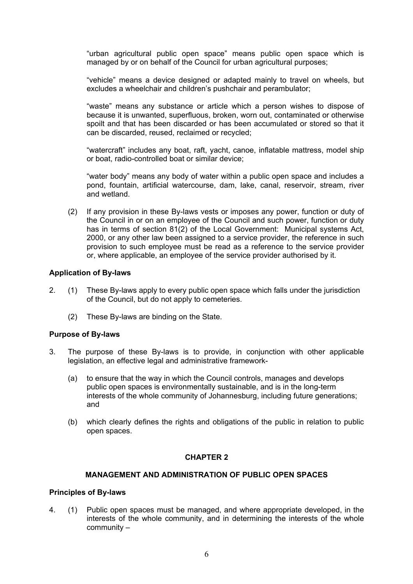"urban agricultural public open space" means public open space which is managed by or on behalf of the Council for urban agricultural purposes;

"vehicle" means a device designed or adapted mainly to travel on wheels, but excludes a wheelchair and children's pushchair and perambulator;

"waste" means any substance or article which a person wishes to dispose of because it is unwanted, superfluous, broken, worn out, contaminated or otherwise spoilt and that has been discarded or has been accumulated or stored so that it can be discarded, reused, reclaimed or recycled;

"watercraft" includes any boat, raft, yacht, canoe, inflatable mattress, model ship or boat, radio-controlled boat or similar device;

"water body" means any body of water within a public open space and includes a pond, fountain, artificial watercourse, dam, lake, canal, reservoir, stream, river and wetland.

(2) If any provision in these By-laws vests or imposes any power, function or duty of the Council in or on an employee of the Council and such power, function or duty has in terms of section 81(2) of the Local Government: Municipal systems Act, 2000, or any other law been assigned to a service provider, the reference in such provision to such employee must be read as a reference to the service provider or, where applicable, an employee of the service provider authorised by it.

### **Application of By-laws**

- 2. (1) These By-laws apply to every public open space which falls under the jurisdiction of the Council, but do not apply to cemeteries.
	- (2) These By-laws are binding on the State.

#### **Purpose of By-laws**

- 3. The purpose of these By-laws is to provide, in conjunction with other applicable legislation, an effective legal and administrative framework-
	- (a) to ensure that the way in which the Council controls, manages and develops public open spaces is environmentally sustainable, and is in the long-term interests of the whole community of Johannesburg, including future generations; and
	- (b) which clearly defines the rights and obligations of the public in relation to public open spaces.

## **CHAPTER 2**

### **MANAGEMENT AND ADMINISTRATION OF PUBLIC OPEN SPACES**

#### **Principles of By-laws**

4. (1) Public open spaces must be managed, and where appropriate developed, in the interests of the whole community, and in determining the interests of the whole  $community -$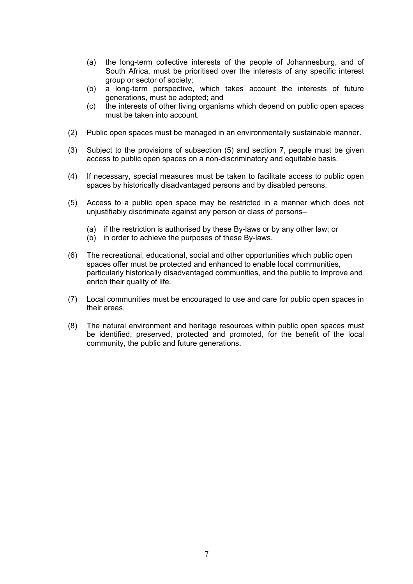- (a) the long-term collective interests of the people of Johannesburg, and of South Africa, must be prioritised over the interests of any specific interest group or sector of society;
- (b) a long-term perspective, which takes account the interests of future generations, must be adopted; and
- (c) the interests of other living organisms which depend on public open spaces must be taken into account.
- (2) Public open spaces must be managed in an environmentally sustainable manner.
- (3) Subject to the provisions of subsection (5) and section [7,](#page-8-0) people must be given access to public open spaces on a non-discriminatory and equitable basis.
- (4) If necessary, special measures must be taken to facilitate access to public open spaces by historically disadvantaged persons and by disabled persons.
- (5) Access to a public open space may be restricted in a manner which does not unjustifiably discriminate against any person or class of persons-
	- (a) if the restriction is authorised by these By-laws or by any other law; or
	- (b) in order to achieve the purposes of these By-laws.
- (6) The recreational, educational, social and other opportunities which public open spaces offer must be protected and enhanced to enable local communities, particularly historically disadvantaged communities, and the public to improve and enrich their quality of life.
- (7) Local communities must be encouraged to use and care for public open spaces in their areas.
- <span id="page-7-0"></span>(8) The natural environment and heritage resources within public open spaces must be identified, preserved, protected and promoted, for the benefit of the local community, the public and future generations.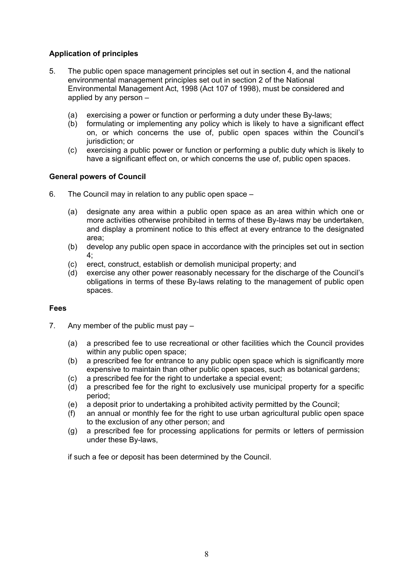# **Application of principles**

- 5. The public open space management principles set out in section [4,](#page-7-0) and the national environmental management principles set out in section 2 of the National Environmental Management Act, 1998 (Act 107 of 1998), must be considered and applied by any person  $-$ 
	- (a) exercising a power or function or performing a duty under these By-laws;
	- (b) formulating or implementing any policy which is likely to have a significant effect on, or which concerns the use of, public open spaces within the Council's jurisdiction; or
	- (c) exercising a public power or function or performing a public duty which is likely to have a significant effect on, or which concerns the use of, public open spaces.

# **General powers of Council**

- 6. The Council may in relation to any public open space  $-$ 
	- (a) designate any area within a public open space as an area within which one or more activities otherwise prohibited in terms of these By-laws may be undertaken, and display a prominent notice to this effect at every entrance to the designated area;
	- (b) develop any public open space in accordance with the principles set out in section  $4<sup>°</sup>$
	- (c) erect, construct, establish or demolish municipal property; and
	- $(d)$  exercise any other power reasonably necessary for the discharge of the Council's obligations in terms of these By-laws relating to the management of public open spaces.

## **Fees**

- <span id="page-8-0"></span>7. Any member of the public must pay  $-$ 
	- (a) a prescribed fee to use recreational or other facilities which the Council provides within any public open space;
	- (b) a prescribed fee for entrance to any public open space which is significantly more expensive to maintain than other public open spaces, such as botanical gardens;
	- (c) a prescribed fee for the right to undertake a special event;
	- (d) a prescribed fee for the right to exclusively use municipal property for a specific period;
	- (e) a deposit prior to undertaking a prohibited activity permitted by the Council;
	- (f) an annual or monthly fee for the right to use urban agricultural public open space to the exclusion of any other person; and
	- (g) a prescribed fee for processing applications for permits or letters of permission under these By-laws,

if such a fee or deposit has been determined by the Council.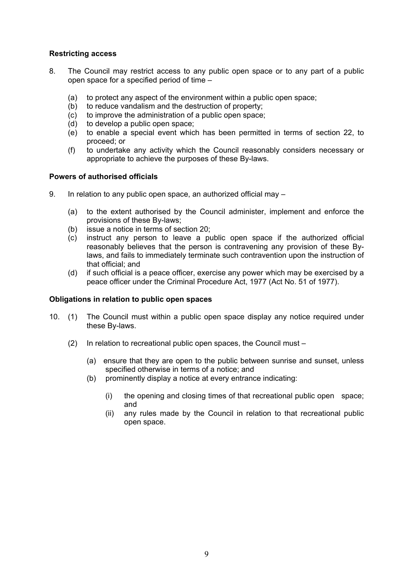# **Restricting access**

- <span id="page-9-0"></span>8. The Council may restrict access to any public open space or to any part of a public open space for a specified period of time  $-$ 
	- (a) to protect any aspect of the environment within a public open space;
	- (b) to reduce vandalism and the destruction of property;
	- (c) to improve the administration of a public open space;
	- (d) to develop a public open space;
	- (e) to enable a special event which has been permitted in terms of section [22,](#page-14-1) to proceed; or
	- (f) to undertake any activity which the Council reasonably considers necessary or appropriate to achieve the purposes of these By-laws.

# **Powers of authorised officials**

- 9. In relation to any public open space, an authorized official may  $-$ 
	- (a) to the extent authorised by the Council administer, implement and enforce the provisions of these By-laws;
	- (b) issue a notice in terms of section [20;](#page-13-2)
	- (c) instruct any person to leave a public open space if the authorized official reasonably believes that the person is contravening any provision of these Bylaws, and fails to immediately terminate such contravention upon the instruction of that official; and
	- (d) if such official is a peace officer, exercise any power which may be exercised by a peace officer under the Criminal Procedure Act, 1977 (Act No. 51 of 1977).

## **Obligations in relation to public open spaces**

- 10. (1) The Council must within a public open space display any notice required under these By-laws.
	- (2) In relation to recreational public open spaces, the Council must  $-$ 
		- (a) ensure that they are open to the public between sunrise and sunset, unless specified otherwise in terms of a notice; and
		- (b) prominently display a notice at every entrance indicating:
			- (i) the opening and closing times of that recreational public open space; and
			- (ii) any rules made by the Council in relation to that recreational public open space.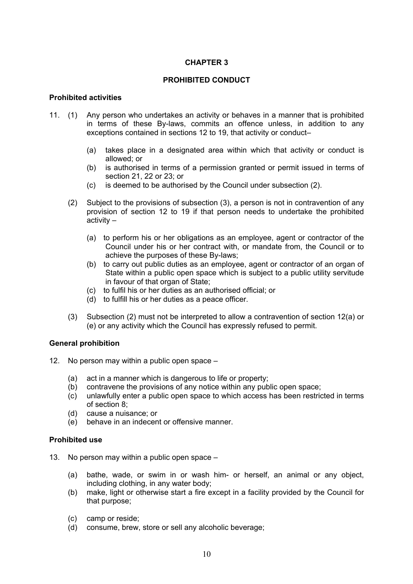## **PROHIBITED CONDUCT**

### **Prohibited activities**

- 11. (1) Any person who undertakes an activity or behaves in a manner that is prohibited in terms of these By-laws, commits an offence unless, in addition to any exceptions contained in sections 12 to 19, that activity or conduct-
	- (a) takes place in a designated area within which that activity or conduct is allowed; or
	- (b) is authorised in terms of a permission granted or permit issued in terms of section [21,](#page-13-0) [22](#page-13-1) or [23;](#page-14-0) or
	- (c) is deemed to be authorised by the Council under subsection (2).
	- (2) Subject to the provisions of subsection (3), a person is not in contravention of any provision of section 12 to 19 if that person needs to undertake the prohibited  $\arctivity -$ 
		- (a) to perform his or her obligations as an employee, agent or contractor of the Council under his or her contract with, or mandate from, the Council or to achieve the purposes of these By-laws;
		- (b) to carry out public duties as an employee, agent or contractor of an organ of State within a public open space which is subject to a public utility servitude in favour of that organ of State;
		- (c) to fulfil his or her duties as an authorised official; or
		- (d) to fulfill his or her duties as a peace officer.
	- (3) Subsection (2) must not be interpreted to allow a contravention of section 12(a) or (e) or any activity which the Council has expressly refused to permit.

#### **General prohibition**

- <span id="page-10-0"></span>12. No person may within a public open space  $-$ 
	- (a) act in a manner which is dangerous to life or property;
	- (b) contravene the provisions of any notice within any public open space;
	- (c) unlawfully enter a public open space to which access has been restricted in terms of section [8;](#page-9-0)
	- (d) cause a nuisance; or
	- (e) behave in an indecent or offensive manner.

#### **Prohibited use**

- 13. No person may within a public open space  $-$ 
	- (a) bathe, wade, or swim in or wash him- or herself, an animal or any object, including clothing, in any water body;
	- (b) make, light or otherwise start a fire except in a facility provided by the Council for that purpose;
	- (c) camp or reside;
	- (d) consume, brew, store or sell any alcoholic beverage;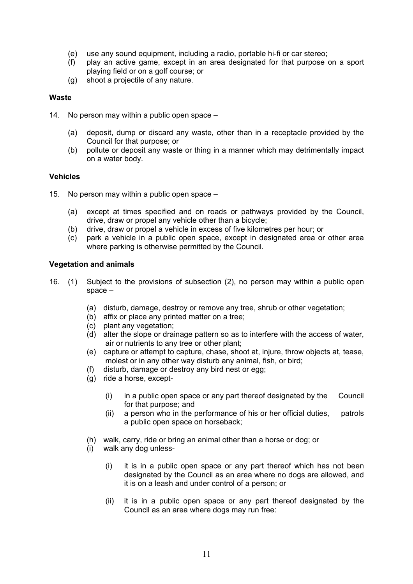- (e) use any sound equipment, including a radio, portable hi-fi or car stereo;
- (f) play an active game, except in an area designated for that purpose on a sport playing field or on a golf course; or
- (g) shoot a projectile of any nature.

### **Waste**

- 14. No person may within a public open space  $-$ 
	- (a) deposit, dump or discard any waste, other than in a receptacle provided by the Council for that purpose; or
	- (b) pollute or deposit any waste or thing in a manner which may detrimentally impact on a water body.

### **Vehicles**

- 15. No person may within a public open space  $-$ 
	- (a) except at times specified and on roads or pathways provided by the Council, drive, draw or propel any vehicle other than a bicycle;
	- (b) drive, draw or propel a vehicle in excess of five kilometres per hour; or
	- (c) park a vehicle in a public open space, except in designated area or other area where parking is otherwise permitted by the Council.

### **Vegetation and animals**

- 16. (1) Subject to the provisions of subsection (2), no person may within a public open  $space -$ 
	- (a) disturb, damage, destroy or remove any tree, shrub or other vegetation;
	- (b) affix or place any printed matter on a tree;
	- (c) plant any vegetation;
	- (d) alter the slope or drainage pattern so as to interfere with the access of water, air or nutrients to any tree or other plant;
	- (e) capture or attempt to capture, chase, shoot at, injure, throw objects at, tease, molest or in any other way disturb any animal, fish, or bird;
	- (f) disturb, damage or destroy any bird nest or egg;
	- (g) ride a horse, except-
		- (i) in a public open space or any part thereof designated by the Council for that purpose; and
		- (ii) a person who in the performance of his or her official duties, patrols a public open space on horseback;
	- (h) walk, carry, ride or bring an animal other than a horse or dog; or
	- (i) walk any dog unless-
		- (i) it is in a public open space or any part thereof which has not been designated by the Council as an area where no dogs are allowed, and it is on a leash and under control of a person; or
		- (ii) it is in a public open space or any part thereof designated by the Council as an area where dogs may run free: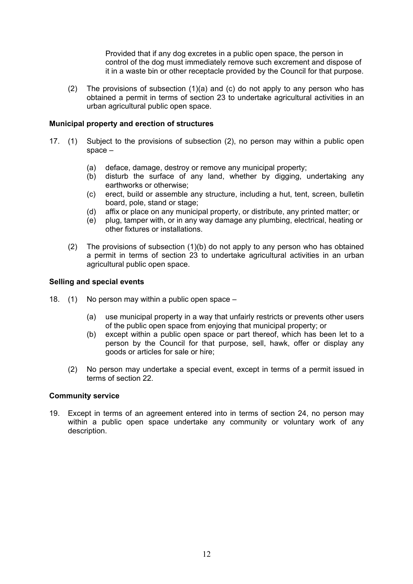Provided that if any dog excretes in a public open space, the person in control of the dog must immediately remove such excrement and dispose of it in a waste bin or other receptacle provided by the Council for that purpose.

(2) The provisions of subsection (1)(a) and (c) do not apply to any person who has obtained a permit in terms of section [23](#page-14-0) to undertake agricultural activities in an urban agricultural public open space.

### **Municipal property and erection of structures**

- 17. (1) Subject to the provisions of subsection (2), no person may within a public open space  $-$ 
	- (a) deface, damage, destroy or remove any municipal property;
	- (b) disturb the surface of any land, whether by digging, undertaking any earthworks or otherwise;
	- (c) erect, build or assemble any structure, including a hut, tent, screen, bulletin board, pole, stand or stage;
	- (d) affix or place on any municipal property, or distribute, any printed matter; or
	- (e) plug, tamper with, or in any way damage any plumbing, electrical, heating or other fixtures or installations.
	- (2) The provisions of subsection (1)(b) do not apply to any person who has obtained a permit in terms of section [23](#page-14-0) to undertake agricultural activities in an urban agricultural public open space.

#### **Selling and special events**

- 18. (1) No person may within a public open space  $-$ 
	- (a) use municipal property in a way that unfairly restricts or prevents other users of the public open space from enjoying that municipal property; or
	- (b) except within a public open space or part thereof, which has been let to a person by the Council for that purpose, sell, hawk, offer or display any goods or articles for sale or hire;
	- (2) No person may undertake a special event, except in terms of a permit issued in terms of section [22.](#page-14-1)

#### **Community service**

19. Except in terms of an agreement entered into in terms of section 24, no person may within a public open space undertake any community or voluntary work of any description.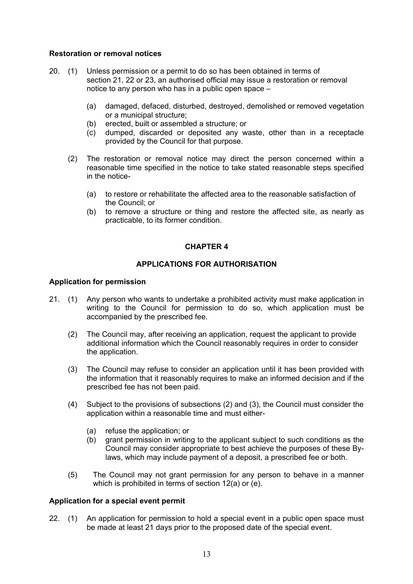### **Restoration or removal notices**

- <span id="page-13-2"></span>20. (1) Unless permission or a permit to do so has been obtained in terms of section [21,](#page-13-0) [22](#page-13-1) or [23,](#page-14-0) an authorised official may issue a restoration or removal notice to any person who has in a public open space  $-$ 
	- (a) damaged, defaced, disturbed, destroyed, demolished or removed vegetation or a municipal structure;
	- (b) erected, built or assembled a structure; or
	- (c) dumped, discarded or deposited any waste, other than in a receptacle provided by the Council for that purpose.
	- (2) The restoration or removal notice may direct the person concerned within a reasonable time specified in the notice to take stated reasonable steps specified in the notice-
		- (a) to restore or rehabilitate the affected area to the reasonable satisfaction of the Council; or
		- (b) to remove a structure or thing and restore the affected site, as nearly as practicable, to its former condition.

# **CHAPTER 4**

## **APPLICATIONS FOR AUTHORISATION**

### **Application for permission**

- <span id="page-13-0"></span>21. (1) Any person who wants to undertake a prohibited activity must make application in writing to the Council for permission to do so, which application must be accompanied by the prescribed fee.
	- (2) The Council may, after receiving an application, request the applicant to provide additional information which the Council reasonably requires in order to consider the application.
	- (3) The Council may refuse to consider an application until it has been provided with the information that it reasonably requires to make an informed decision and if the prescribed fee has not been paid.
	- (4) Subject to the provisions of subsections (2) and (3), the Council must consider the application within a reasonable time and must either-
		- (a) refuse the application; or
		- (b) grant permission in writing to the applicant subject to such conditions as the Council may consider appropriate to best achieve the purposes of these Bylaws, which may include payment of a deposit, a prescribed fee or both.
	- (5) The Council may not grant permission for any person to behave in a manner which is prohibited in terms of section [12\(](#page-10-0)a) or (e).

## **Application for a special event permit**

<span id="page-13-1"></span>22. (1) An application for permission to hold a special event in a public open space must be made at least 21 days prior to the proposed date of the special event.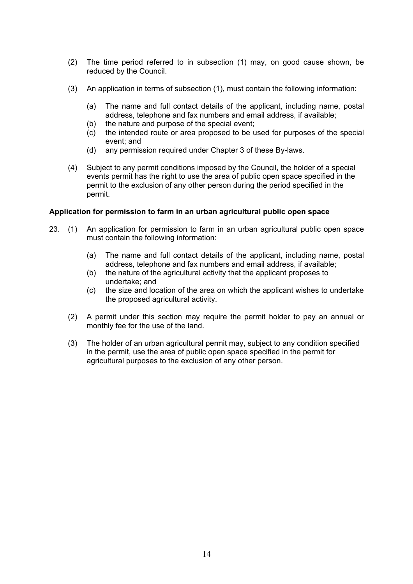- (2) The time period referred to in subsection (1) may, on good cause shown, be reduced by the Council.
- (3) An application in terms of subsection (1), must contain the following information:
	- (a) The name and full contact details of the applicant, including name, postal address, telephone and fax numbers and email address, if available;
	- (b) the nature and purpose of the special event;
	- (c) the intended route or area proposed to be used for purposes of the special event; and
	- (d) any permission required under Chapter 3 of these By-laws.
- (4) Subject to any permit conditions imposed by the Council, the holder of a special events permit has the right to use the area of public open space specified in the permit to the exclusion of any other person during the period specified in the permit.

### **Application for permission to farm in an urban agricultural public open space**

- <span id="page-14-1"></span><span id="page-14-0"></span>23. (1) An application for permission to farm in an urban agricultural public open space must contain the following information:
	- (a) The name and full contact details of the applicant, including name, postal address, telephone and fax numbers and email address, if available;
	- (b) the nature of the agricultural activity that the applicant proposes to undertake; and
	- (c) the size and location of the area on which the applicant wishes to undertake the proposed agricultural activity.
	- (2) A permit under this section may require the permit holder to pay an annual or monthly fee for the use of the land.
	- (3) The holder of an urban agricultural permit may, subject to any condition specified in the permit, use the area of public open space specified in the permit for agricultural purposes to the exclusion of any other person.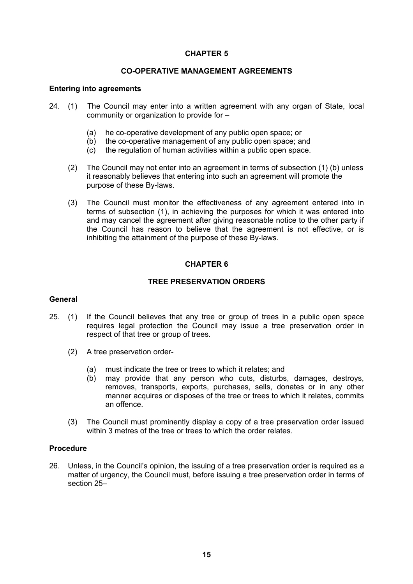### **CO-OPERATIVE MANAGEMENT AGREEMENTS**

#### **Entering into agreements**

- 24. (1) The Council may enter into a written agreement with any organ of State, local community or organization to provide for  $-$ 
	- (a) he co-operative development of any public open space; or
	- (b) the co-operative management of any public open space; and
	- (c) the regulation of human activities within a public open space.
	- (2) The Council may not enter into an agreement in terms of subsection (1) (b) unless it reasonably believes that entering into such an agreement will promote the purpose of these By-laws.
	- (3) The Council must monitor the effectiveness of any agreement entered into in terms of subsection (1), in achieving the purposes for which it was entered into and may cancel the agreement after giving reasonable notice to the other party if the Council has reason to believe that the agreement is not effective, or is inhibiting the attainment of the purpose of these By-laws.

## **CHAPTER 6**

### **TREE PRESERVATION ORDERS**

#### **General**

- <span id="page-15-0"></span>25. (1) If the Council believes that any tree or group of trees in a public open space requires legal protection the Council may issue a tree preservation order in respect of that tree or group of trees.
	- (2) A tree preservation order-
		- (a) must indicate the tree or trees to which it relates; and
		- (b) may provide that any person who cuts, disturbs, damages, destroys, removes, transports, exports, purchases, sells, donates or in any other manner acquires or disposes of the tree or trees to which it relates, commits an offence.
	- (3) The Council must prominently display a copy of a tree preservation order issued within 3 metres of the tree or trees to which the order relates.

### **Procedure**

26. Unless, in the Council's opinion, the issuing of a tree preservation order is required as a matter of urgency, the Council must, before issuing a tree preservation order in terms of section 25-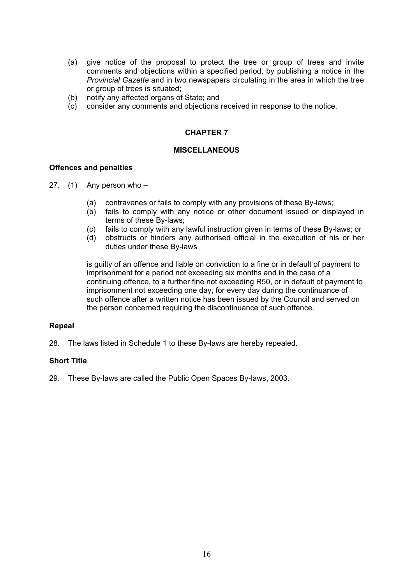- (a) give notice of the proposal to protect the tree or group of trees and invite comments and objections within a specified period, by publishing a notice in the *Provincial Gazette* and in two newspapers circulating in the area in which the tree or group of trees is situated;
- (b) notify any affected organs of State; and
- (c) consider any comments and objections received in response to the notice.

#### **MISCELLANEOUS**

#### **Offences and penalties**

- 27. (1) Any person who  $-$ 
	- (a) contravenes or fails to comply with any provisions of these By-laws;
	- (b) fails to comply with any notice or other document issued or displayed in terms of these By-laws;
	- (c) fails to comply with any lawful instruction given in terms of these By-laws; or
	- (d) obstructs or hinders any authorised official in the execution of his or her duties under these By-laws

is guilty of an offence and liable on conviction to a fine or in default of payment to imprisonment for a period not exceeding six months and in the case of a continuing offence, to a further fine not exceeding R50, or in default of payment to imprisonment not exceeding one day, for every day during the continuance of such offence after a written notice has been issued by the Council and served on the person concerned requiring the discontinuance of such offence.

#### **Repeal**

28. The laws listed in Schedule 1 to these By-laws are hereby repealed.

## **Short Title**

29. These By-laws are called the Public Open Spaces By-laws, 2003.